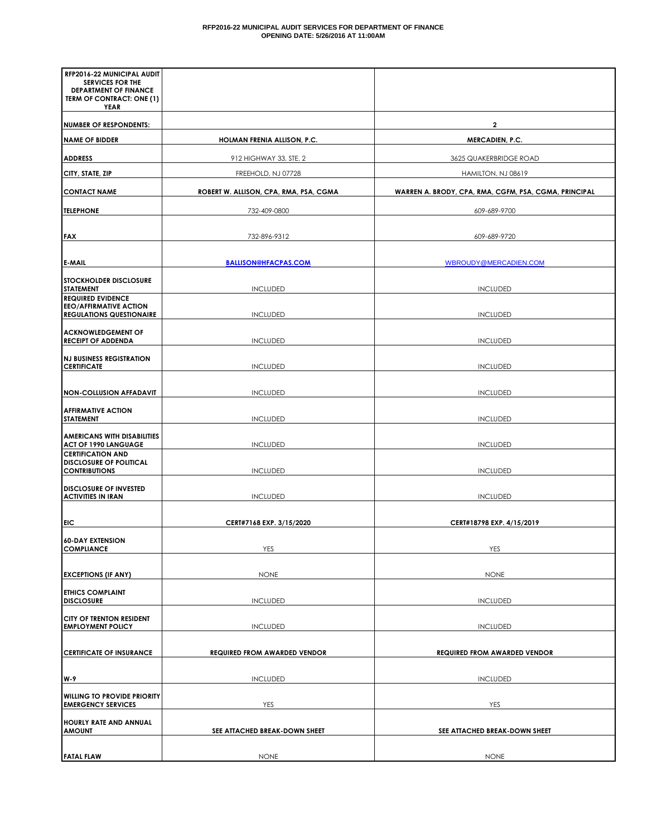| RFP2016-22 MUNICIPAL AUDIT<br><b>SERVICES FOR THE</b><br><b>DEPARTMENT OF FINANCE</b> |                                        |                                                       |  |  |  |  |
|---------------------------------------------------------------------------------------|----------------------------------------|-------------------------------------------------------|--|--|--|--|
| TERM OF CONTRACT: ONE (1)<br>YEAR                                                     |                                        |                                                       |  |  |  |  |
| <b>NUMBER OF RESPONDENTS:</b>                                                         |                                        | $\overline{\mathbf{2}}$                               |  |  |  |  |
| <b>NAME OF BIDDER</b>                                                                 | HOLMAN FRENIA ALLISON, P.C.            | MERCADIEN, P.C.                                       |  |  |  |  |
| <b>ADDRESS</b>                                                                        | 912 HIGHWAY 33, STE. 2                 | 3625 QUAKERBRIDGE ROAD                                |  |  |  |  |
| CITY, STATE, ZIP                                                                      | FREEHOLD, NJ 07728                     | HAMILTON, NJ 08619                                    |  |  |  |  |
| <b>CONTACT NAME</b>                                                                   | ROBERT W. ALLISON, CPA, RMA, PSA, CGMA | WARREN A. BRODY, CPA, RMA, CGFM, PSA, CGMA, PRINCIPAL |  |  |  |  |
| <b>TELEPHONE</b>                                                                      | 732-409-0800                           | 609-689-9700                                          |  |  |  |  |
|                                                                                       |                                        |                                                       |  |  |  |  |
| <b>FAX</b>                                                                            | 732-896-9312                           | 609-689-9720                                          |  |  |  |  |
| <b>E-MAIL</b>                                                                         | <b>BALLISON@HFACPAS.COM</b>            | WBROUDY@MERCADIEN.COM                                 |  |  |  |  |
| <b>STOCKHOLDER DISCLOSURE</b><br><b>STATEMENT</b><br><b>REQUIRED EVIDENCE</b>         | <b>INCLUDED</b>                        | <b>INCLUDED</b>                                       |  |  |  |  |
| <b>EEO/AFFIRMATIVE ACTION</b><br><b>REGULATIONS QUESTIONAIRE</b>                      | <b>INCLUDED</b>                        | <b>INCLUDED</b>                                       |  |  |  |  |
| <b>ACKNOWLEDGEMENT OF</b><br><b>RECEIPT OF ADDENDA</b>                                | <b>INCLUDED</b>                        | <b>INCLUDED</b>                                       |  |  |  |  |
| <b>NJ BUSINESS REGISTRATION</b><br><b>CERTIFICATE</b>                                 | <b>INCLUDED</b>                        | <b>INCLUDED</b>                                       |  |  |  |  |
| <b>NON-COLLUSION AFFADAVIT</b>                                                        | <b>INCLUDED</b>                        | <b>INCLUDED</b>                                       |  |  |  |  |
| <b>AFFIRMATIVE ACTION</b><br><b>STATEMENT</b>                                         | <b>INCLUDED</b>                        | <b>INCLUDED</b>                                       |  |  |  |  |
| <b>AMERICANS WITH DISABILITIES</b><br><b>ACT OF 1990 LANGUAGE</b>                     | <b>INCLUDED</b>                        | <b>INCLUDED</b>                                       |  |  |  |  |
| <b>CERTIFICATION AND</b><br><b>DISCLOSURE OF POLITICAL</b><br><b>CONTRIBUTIONS</b>    | <b>INCLUDED</b>                        | <b>INCLUDED</b>                                       |  |  |  |  |
| <b>DISCLOSURE OF INVESTED</b><br><b>ACTIVITIES IN IRAN</b>                            | <b>INCLUDED</b>                        | <b>INCLUDED</b>                                       |  |  |  |  |
| EIC                                                                                   | CERT#7168 EXP. 3/15/2020               | CERT#18798 EXP. 4/15/2019                             |  |  |  |  |
| 60-DAY EXTENSION                                                                      |                                        |                                                       |  |  |  |  |
| <b>COMPLIANCE</b>                                                                     | YES                                    | YES                                                   |  |  |  |  |
| <b>EXCEPTIONS (IF ANY)</b>                                                            | <b>NONE</b>                            | <b>NONE</b>                                           |  |  |  |  |
| <b>ETHICS COMPLAINT</b>                                                               |                                        |                                                       |  |  |  |  |
| <b>DISCLOSURE</b>                                                                     | <b>INCLUDED</b>                        | <b>INCLUDED</b>                                       |  |  |  |  |
| CITY OF TRENTON RESIDENT<br><b>EMPLOYMENT POLICY</b>                                  | <b>INCLUDED</b>                        | <b>INCLUDED</b>                                       |  |  |  |  |
| <b>CERTIFICATE OF INSURANCE</b>                                                       | <b>REQUIRED FROM AWARDED VENDOR</b>    | <b>REQUIRED FROM AWARDED VENDOR</b>                   |  |  |  |  |
| W-9                                                                                   | <b>INCLUDED</b>                        | <b>INCLUDED</b>                                       |  |  |  |  |
| <b>WILLING TO PROVIDE PRIORITY</b><br><b>EMERGENCY SERVICES</b>                       | YES                                    | <b>YES</b>                                            |  |  |  |  |
| HOURLY RATE AND ANNUAL<br><b>AMOUNT</b>                                               | SEE ATTACHED BREAK-DOWN SHEET          | SEE ATTACHED BREAK-DOWN SHEET                         |  |  |  |  |
| <b>FATAL FLAW</b>                                                                     | <b>NONE</b>                            | <b>NONE</b>                                           |  |  |  |  |
|                                                                                       |                                        |                                                       |  |  |  |  |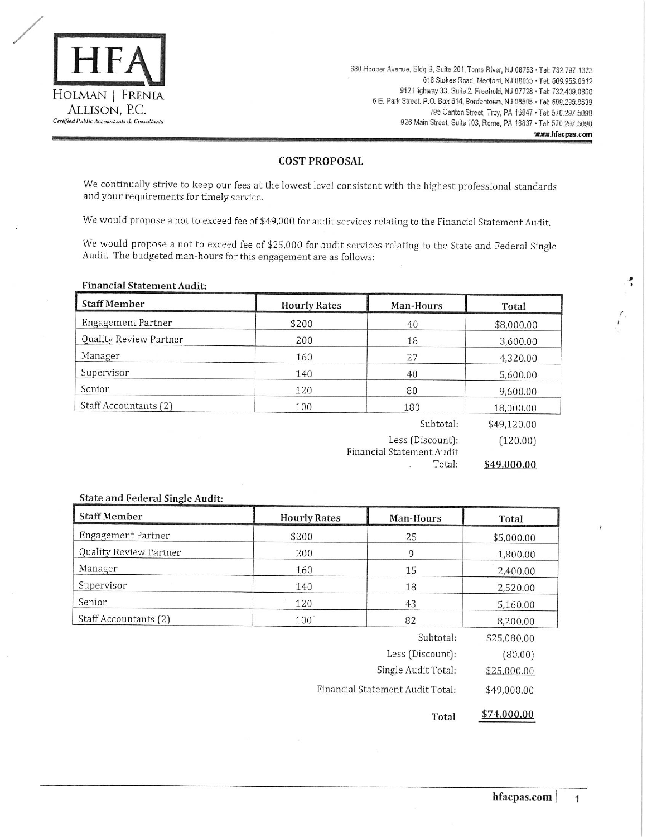

680 Hooper Avenue, Bldg B, Suite 201, Toms River, NJ 08753 · Tel: 732.797.1333 618 Stokes Road, Medford, NJ 08055 · Tel: 609.953.0612 912 Highway 33, Suite 2, Freehold, NJ 07728 · Tel: 732.409.0800 6 E. Park Street, P.O. Box 614, Bordentown, NJ 08505 · Tel: 609.298.8639 795 Canton Street, Troy, PA 16947 · Tel: 570.297.5090 926 Main Street, Suite 103, Rome, PA 18837 - Tel: 570.297.5090 www.hfacpas.com

### **COST PROPOSAL**

We continually strive to keep our fees at the lowest level consistent with the highest professional standards and your requirements for timely service.

We would propose a not to exceed fee of \$49,000 for audit services relating to the Financial Statement Audit.

We would propose a not to exceed fee of \$25,000 for audit services relating to the State and Federal Single Audit. The budgeted man-hours for this engagement are as follows:

#### **Financial Statement Audit:**

| <b>Staff Member</b>    | <b>Hourly Rates</b> | Man-Hours                 | Total       |
|------------------------|---------------------|---------------------------|-------------|
| Engagement Partner     | \$200               | 40                        | \$8,000.00  |
| Quality Review Partner | 200                 | 18                        | 3,600.00    |
| Manager                | 160                 | 27                        | 4,320,00    |
| Supervisor             | 140                 | 40                        | 5,600.00    |
| Senior                 | 120                 | 80                        | 9,600.00    |
| Staff Accountants (2)  | 100                 | 180                       | 18,000.00   |
|                        |                     | Subtotal:                 | \$49,120.00 |
|                        |                     | Less (Discount):          | (120.00)    |
|                        |                     | Financial Statement Audit |             |
|                        |                     | Total:                    | \$49,000.00 |

# State and Federal Single Audit:

| <b>Staff Member</b>                             | <b>Hourly Rates</b> | Man-Hours           | Total       |  |  |
|-------------------------------------------------|---------------------|---------------------|-------------|--|--|
| Engagement Partner                              | \$200               | 25                  | \$5,000.00  |  |  |
| Quality Review Partner                          | 200                 | 9                   | 1,800.00    |  |  |
| Manager                                         | 160                 | 15                  | 2,400.00    |  |  |
| Supervisor                                      | 140                 | 18                  | 2,520.00    |  |  |
| Senior                                          | 120                 | 43                  | 5,160,00    |  |  |
| Staff Accountants (2)                           | $100^\circ$         | 82                  |             |  |  |
|                                                 |                     | Subtotal:           | \$25,080.00 |  |  |
|                                                 |                     | Less (Discount):    | (80.00)     |  |  |
|                                                 |                     | Single Audit Total: | \$25,000.00 |  |  |
| Financial Statement Audit Total:<br>\$49,000,00 |                     |                     |             |  |  |

\$74,000.00 Total